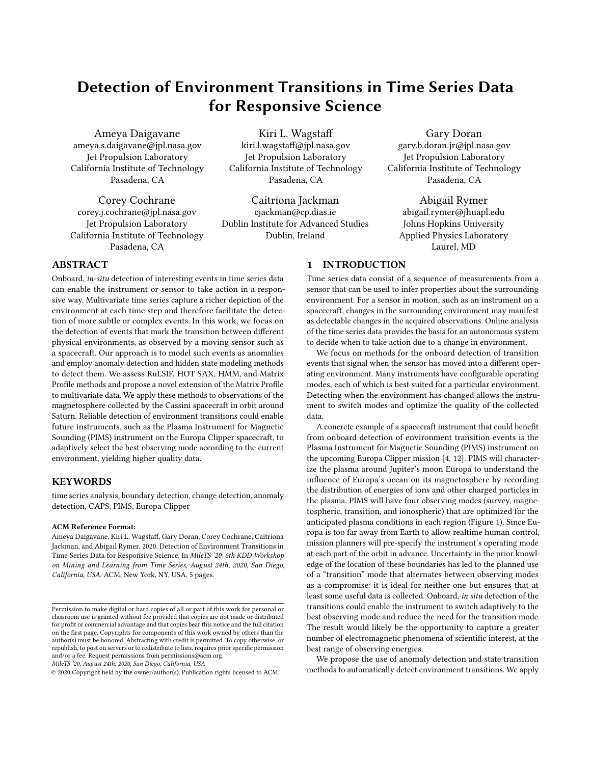# Detection of Environment Transitions in Time Series Data for Responsive Science

Ameya Daigavane ameya.s.daigavane@jpl.nasa.gov Jet Propulsion Laboratory California Institute of Technology Pasadena, CA

Corey Cochrane corey.j.cochrane@jpl.nasa.gov Jet Propulsion Laboratory California Institute of Technology Pasadena, CA

Kiri L. Wagstaff kiri.l.wagstaff@jpl.nasa.gov Jet Propulsion Laboratory California Institute of Technology Pasadena, CA

Caitriona Jackman cjackman@cp.dias.ie Dublin Institute for Advanced Studies Dublin, Ireland

Gary Doran gary.b.doran.jr@jpl.nasa.gov Jet Propulsion Laboratory California Institute of Technology Pasadena, CA

Abigail Rymer abigail.rymer@jhuapl.edu Johns Hopkins University Applied Physics Laboratory Laurel, MD

## ABSTRACT

Onboard, in-situ detection of interesting events in time series data can enable the instrument or sensor to take action in a responsive way. Multivariate time series capture a richer depiction of the environment at each time step and therefore facilitate the detection of more subtle or complex events. In this work, we focus on the detection of events that mark the transition between different physical environments, as observed by a moving sensor such as a spacecraft. Our approach is to model such events as anomalies and employ anomaly detection and hidden state modeling methods to detect them. We assess RuLSIF, HOT SAX, HMM, and Matrix Profile methods and propose a novel extension of the Matrix Profile to multivariate data. We apply these methods to observations of the magnetosphere collected by the Cassini spacecraft in orbit around Saturn. Reliable detection of environment transitions could enable future instruments, such as the Plasma Instrument for Magnetic Sounding (PIMS) instrument on the Europa Clipper spacecraft, to adaptively select the best observing mode according to the current environment, yielding higher quality data.

#### **KEYWORDS**

time series analysis, boundary detection, change detection, anomaly detection, CAPS, PIMS, Europa Clipper

#### ACM Reference Format:

Ameya Daigavane, Kiri L. Wagstaff, Gary Doran, Corey Cochrane, Caitriona Jackman, and Abigail Rymer. 2020. Detection of Environment Transitions in Time Series Data for Responsive Science. In MileTS '20: 6th KDD Workshop on Mining and Learning from Time Series, August 24th, 2020, San Diego, California, USA. ACM, New York, NY, USA, [5](#page-4-0) pages.

MileTS '20, August 24th, 2020, San Diego, California, USA

## 1 INTRODUCTION

Time series data consist of a sequence of measurements from a sensor that can be used to infer properties about the surrounding environment. For a sensor in motion, such as an instrument on a spacecraft, changes in the surrounding environment may manifest as detectable changes in the acquired observations. Online analysis of the time series data provides the basis for an autonomous system to decide when to take action due to a change in environment.

We focus on methods for the onboard detection of transition events that signal when the sensor has moved into a different operating environment. Many instruments have configurable operating modes, each of which is best suited for a particular environment. Detecting when the environment has changed allows the instrument to switch modes and optimize the quality of the collected data.

A concrete example of a spacecraft instrument that could benefit from onboard detection of environment transition events is the Plasma Instrument for Magnetic Sounding (PIMS) instrument on the upcoming Europa Clipper mission [\[4,](#page-4-1) [12\]](#page-4-2). PIMS will characterize the plasma around Jupiter's moon Europa to understand the influence of Europa's ocean on its magnetosphere by recording the distribution of energies of ions and other charged particles in the plasma. PIMS will have four observing modes (survey, magnetospheric, transition, and ionospheric) that are optimized for the anticipated plasma conditions in each region (Figure [1\)](#page-1-0). Since Europa is too far away from Earth to allow realtime human control, mission planners will pre-specify the instrument's operating mode at each part of the orbit in advance. Uncertainty in the prior knowledge of the location of these boundaries has led to the planned use of a "transition" mode that alternates between observing modes as a compromise: it is ideal for neither one but ensures that at least some useful data is collected. Onboard, in situ detection of the transitions could enable the instrument to switch adaptively to the best observing mode and reduce the need for the transition mode. The result would likely be the opportunity to capture a greater number of electromagnetic phenomena of scientific interest, at the best range of observing energies.

We propose the use of anomaly detection and state transition methods to automatically detect environment transitions. We apply

Permission to make digital or hard copies of all or part of this work for personal or classroom use is granted without fee provided that copies are not made or distributed for profit or commercial advantage and that copies bear this notice and the full citation on the first page. Copyrights for components of this work owned by others than the author(s) must be honored. Abstracting with credit is permitted. To copy otherwise, or republish, to post on servers or to redistribute to lists, requires prior specific permission and/or a fee. Request permissions from permissions@acm.org.

<sup>©</sup> 2020 Copyright held by the owner/author(s). Publication rights licensed to ACM.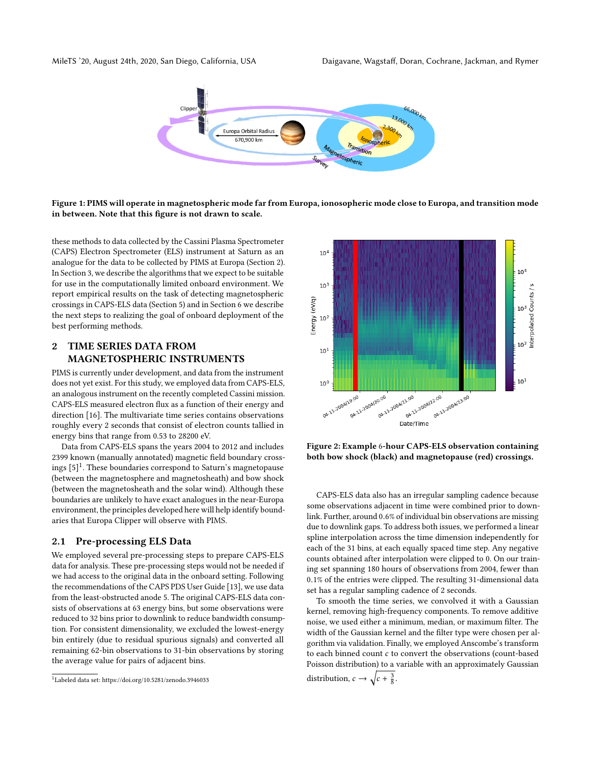<span id="page-1-0"></span>



Figure 1: PIMS will operate in magnetospheric mode far from Europa, ionosopheric mode close to Europa, and transition mode in between. Note that this figure is not drawn to scale.

these methods to data collected by the Cassini Plasma Spectrometer (CAPS) Electron Spectrometer (ELS) instrument at Saturn as an analogue for the data to be collected by PIMS at Europa (Section [2\)](#page-1-1). In Section [3,](#page-2-0) we describe the algorithms that we expect to be suitable for use in the computationally limited onboard environment. We report empirical results on the task of detecting magnetospheric crossings in CAPS-ELS data (Section [5\)](#page-3-0) and in Section [6](#page-4-3) we describe the next steps to realizing the goal of onboard deployment of the best performing methods.

## <span id="page-1-1"></span>2 TIME SERIES DATA FROM MAGNETOSPHERIC INSTRUMENTS

PIMS is currently under development, and data from the instrument does not yet exist. For this study, we employed data from CAPS-ELS, an analogous instrument on the recently completed Cassini mission. CAPS-ELS measured electron flux as a function of their energy and direction [\[16\]](#page-4-4). The multivariate time series contains observations roughly every 2 seconds that consist of electron counts tallied in energy bins that range from 0.53 to 28200 eV.

Data from CAPS-ELS spans the years 2004 to 2012 and includes 2399 known (manually annotated) magnetic field boundary crossings [\[5\]](#page-4-5) [1](#page-1-2) . These boundaries correspond to Saturn's magnetopause (between the magnetosphere and magnetosheath) and bow shock (between the magnetosheath and the solar wind). Although these boundaries are unlikely to have exact analogues in the near-Europa environment, the principles developed here will help identify boundaries that Europa Clipper will observe with PIMS.

#### 2.1 Pre-processing ELS Data

We employed several pre-processing steps to prepare CAPS-ELS data for analysis. These pre-processing steps would not be needed if we had access to the original data in the onboard setting. Following the recommendations of the CAPS PDS User Guide [\[13\]](#page-4-6), we use data from the least-obstructed anode 5. The original CAPS-ELS data consists of observations at 63 energy bins, but some observations were reduced to 32 bins prior to downlink to reduce bandwidth consumption. For consistent dimensionality, we excluded the lowest-energy bin entirely (due to residual spurious signals) and converted all remaining 62-bin observations to 31-bin observations by storing the average value for pairs of adjacent bins.

<span id="page-1-3"></span>

Figure 2: Example 6-hour CAPS-ELS observation containing both bow shock (black) and magnetopause (red) crossings.

CAPS-ELS data also has an irregular sampling cadence because some observations adjacent in time were combined prior to downlink. Further, around <sup>0</sup>.6% of individual bin observations are missing due to downlink gaps. To address both issues, we performed a linear spline interpolation across the time dimension independently for each of the 31 bins, at each equally spaced time step. Any negative counts obtained after interpolation were clipped to 0. On our training set spanning 180 hours of observations from 2004, fewer than <sup>0</sup>.1% of the entries were clipped. The resulting 31-dimensional data set has a regular sampling cadence of 2 seconds.

To smooth the time series, we convolved it with a Gaussian kernel, removing high-frequency components. To remove additive noise, we used either a minimum, median, or maximum filter. The width of the Gaussian kernel and the filter type were chosen per algorithm via validation. Finally, we employed Anscombe's transform to each binned count  $c$  to convert the observations (count-based Poisson distribution) to a variable with an approximately Gaussian distribution,  $c \rightarrow \sqrt{c + \frac{3}{8}}$ .

<span id="page-1-2"></span><sup>1</sup>Labeled data set:<https://doi.org/10.5281/zenodo.3946033>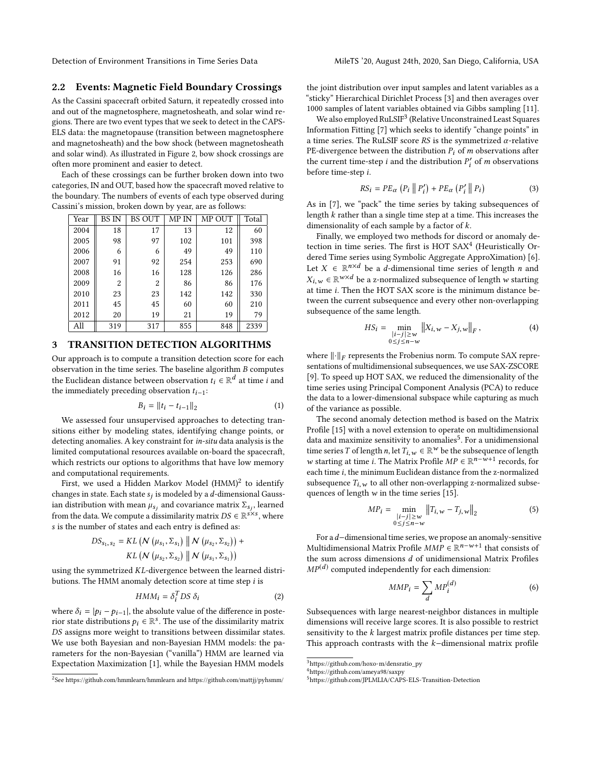## 2.2 Events: Magnetic Field Boundary Crossings

As the Cassini spacecraft orbited Saturn, it repeatedly crossed into and out of the magnetosphere, magnetosheath, and solar wind regions. There are two event types that we seek to detect in the CAPS-ELS data: the magnetopause (transition between magnetosphere and magnetosheath) and the bow shock (between magnetosheath and solar wind). As illustrated in Figure [2,](#page-1-3) bow shock crossings are often more prominent and easier to detect.

Each of these crossings can be further broken down into two categories, IN and OUT, based how the spacecraft moved relative to the boundary. The numbers of events of each type observed during Cassini's mission, broken down by year, are as follows:

| Year | <b>BS IN</b> | <b>BS OUT</b> | MP IN | MP OUT | Total |
|------|--------------|---------------|-------|--------|-------|
| 2004 | 18           | 17            | 13    | 12     | 60    |
| 2005 | 98           | 97            | 102   | 101    | 398   |
| 2006 | 6            | 6             | 49    | 49     | 110   |
| 2007 | 91           | 92            | 254   | 253    | 690   |
| 2008 | 16           | 16            | 128   | 126    | 286   |
| 2009 | 2            | 2             | 86    | 86     | 176   |
| 2010 | 23           | 23            | 142   | 142    | 330   |
| 2011 | 45           | 45            | 60    | 60     | 210   |
| 2012 | 20           | 19            | 21    | 19     | 79    |
| All  | 319          | 317           | 855   | 848    | 2339  |

#### <span id="page-2-0"></span>3 TRANSITION DETECTION ALGORITHMS

Our approach is to compute a transition detection score for each observation in the time series. The baseline algorithm B computes the Euclidean distance between observation  $t_i \in \mathbb{R}^d$  at time *i* and the immediately preceding observation  $t_i$ . the immediately preceding observation  $t_{i-1}$ :

$$
B_i = ||t_i - t_{i-1}||_2 \tag{1}
$$

We assessed four unsupervised approaches to detecting transitions either by modeling states, identifying change points, or detecting anomalies. A key constraint for in-situ data analysis is the limited computational resources available on-board the spacecraft, which restricts our options to algorithms that have low memory and computational requirements.

First, we used a Hidden Markov Model (HMM) $^2$  $^2$  to identify changes in state. Each state  $s_j$  is modeled by a *d*-dimensional Gauss-<br>ian distribution with mean  $\mu$  and covariance matrix  $\Sigma$  - learned ian distribution with mean  $\mu_{s_j}$  and covariance matrix  $\Sigma_{s_j}$ , learned<br>from the data. We compute a dissimilarity matrix  $DS \subseteq \mathbb{R}^{s \times s}$ , where from the data. We compute a dissimilarity matrix  $DS \in \mathbb{R}^{s \times s}$ , where s is the number of states and each entry is defined as: s is the number of states and each entry is defined as:

$$
DS_{s_1, s_2} = KL (N (\mu_{s_1}, \Sigma_{s_1}) || N (\mu_{s_2}, \Sigma_{s_2})) + KL (N (\mu_{s_2}, \Sigma_{s_2}) || N (\mu_{s_1}, \Sigma_{s_1}))
$$

using the symmetrized KL-divergence between the learned distributions. The HMM anomaly detection score at time step i is butions. The HMM anomaly detection score at time step i is

$$
HMM_i = \delta_i^T DS \delta_i \tag{2}
$$

where  $\delta_i = |p_i - p_{i-1}|$ , the absolute value of the difference in poste-<br>rior state distributions  $p_i \in \mathbb{R}^s$ . The use of the dissimilarity matrix rior state distributions  $p_i \in \mathbb{R}^s$ . The use of the dissimilarity matrix  $DS$  assigns more weight to transitions between dissimilar states DS assigns more weight to transitions between dissimilar states. We use both Bayesian and non-Bayesian HMM models: the parameters for the non-Bayesian ("vanilla") HMM are learned via Expectation Maximization [\[1\]](#page-4-7), while the Bayesian HMM models

the joint distribution over input samples and latent variables as a "sticky" Hierarchical Dirichlet Process [\[3\]](#page-4-8) and then averages over 1000 samples of latent variables obtained via Gibbs sampling [\[11\]](#page-4-9).

We also employed  $\text{RuLSIF}^3$  $\text{RuLSIF}^3$  (Relative Unconstrained Least Squares Information Fitting [\[7\]](#page-4-10) which seeks to identify "change points" in a time series. The RuLSIF score RS is the symmetrized  $\alpha$ -relative PE-divergence between the distribution  $P_i$  of m observations after the current time-step *i* and the distribution  $P'_i$  of *m* observations before time-step *i* before time-step i.

$$
RS_i = PE_{\alpha} (P_i || P'_i) + PE_{\alpha} (P'_i || P_i)
$$
\n(3)

As in [\[7\]](#page-4-10), we "pack" the time series by taking subsequences of length k rather than a single time step at a time. This increases the dimensionality of each sample by a factor of  $k$ .

Finally, we employed two methods for discord or anomaly de-tection in time series. The first is HOT SAX<sup>[4](#page-2-3)</sup> (Heuristically Ordered Time series using Symbolic Aggregate ApproXimation) [\[6\]](#page-4-11). Let  $X \in \mathbb{R}^{n \times d}$  be a *d*-dimensional time series of length *n* and  $Y_{n} \in \mathbb{R}^{n \times d}$  be a *n* normalized subsequence of length  $u$  stating  $X_{i,w} \in \mathbb{R}^{w \times d}$  be a z-normalized subsequence of length w starting at time i. Then the HOT SAX score is the minimum distance beat time i. Then the HOT SAX score is the minimum distance between the current subsequence and every other non-overlapping subsequence of the same length.

$$
HS_{i} = \min_{\substack{|i-j| \ge w \\ 0 \le j \le n-w}} \|X_{i,w} - X_{j,w}\|_{F},
$$
 (4)

where  $\|\cdot\|_F$  represents the Frobenius norm. To compute SAX repre-<br>sentations of multidimensional subsequences, we use SAX-ZSCORE sentations of multidimensional subsequences, we use SAX-ZSCORE [\[9\]](#page-4-12). To speed up HOT SAX, we reduced the dimensionality of the time series using Principal Component Analysis (PCA) to reduce the data to a lower-dimensional subspace while capturing as much of the variance as possible.

The second anomaly detection method is based on the Matrix Profile [\[15\]](#page-4-13) with a novel extension to operate on multidimensional data and maximize sensitivity to anomalies<sup>[5](#page-2-4)</sup>. For a unidimensional time series T of length n, let  $T_{i,w} \in \mathbb{R}^w$  be the subsequence of length  $u_i$  starting at time i. The Matrix Profile  $MP \subset \mathbb{R}^{n-w+1}$  records for w starting at time *i*. The Matrix Profile  $MP \in \mathbb{R}^{n-w+1}$  records, for each time *i* the minimum Euclidean distance from the z-normalized each time  $i$ , the minimum Euclidean distance from the z-normalized subsequence  $T_{i,w}$  to all other non-overlapping z-normalized subsequences of length  $w$  in the time series [\[15\]](#page-4-13).

$$
MP_{i} = \min_{\substack{|i-j| \ge w \\ 0 \le j \le n-w}} \|T_{i,w} - T_{j,w}\|_{2}
$$
 (5)

For ad−dimensional time series, we propose an anomaly-sensitive Multidimensional Matrix Profile  $MMP \in \mathbb{R}^{n-w+1}$  that consists of the sum across dimensions d of unidimensional Matrix Profiles the sum across dimensions  $d$  of unidimensional Matrix Profiles  $MP<sup>(d)</sup>$  computed independently for each dimension:

$$
MMP_i = \sum_{d} MP_i^{(d)} \tag{6}
$$

d Subsequences with large nearest-neighbor distances in multiple dimensions will receive large scores. It is also possible to restrict sensitivity to the  $k$  largest matrix profile distances per time step. This approach contrasts with the k−dimensional matrix profile

<span id="page-2-1"></span><sup>&</sup>lt;sup>2</sup>See<https://github.com/hmmlearn/hmmlearn> and<https://github.com/mattjj/pyhsmm/>

<span id="page-2-2"></span> $^3$ [https://github.com/hoxo-m/densratio\\_py](https://github.com/hoxo-m/densratio_py)

<span id="page-2-3"></span><sup>4</sup><https://github.com/ameya98/saxpy>

<span id="page-2-4"></span><sup>5</sup><https://github.com/JPLMLIA/CAPS-ELS-Transition-Detection>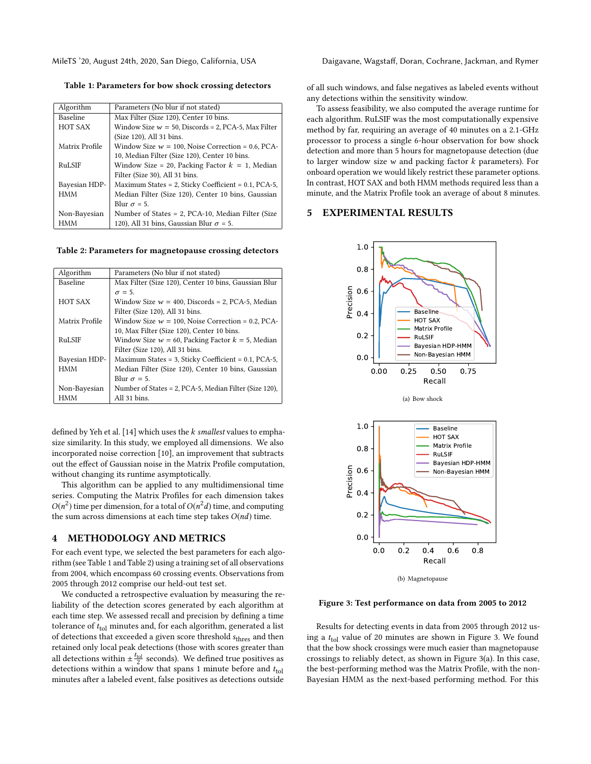<span id="page-3-1"></span>Table 1: Parameters for bow shock crossing detectors

| Algorithm      | Parameters (No blur if not stated)                      |  |  |
|----------------|---------------------------------------------------------|--|--|
| Baseline       | Max Filter (Size 120), Center 10 bins.                  |  |  |
| <b>HOT SAX</b> | Window Size $w = 50$ , Discords = 2, PCA-5, Max Filter  |  |  |
|                | (Size 120), All 31 bins.                                |  |  |
| Matrix Profile | Window Size $w = 100$ , Noise Correction = 0.6, PCA-    |  |  |
|                | 10, Median Filter (Size 120), Center 10 bins.           |  |  |
| RuLSIF         | Window Size = 20, Packing Factor $k = 1$ , Median       |  |  |
|                | Filter (Size 30), All 31 bins.                          |  |  |
| Bayesian HDP-  | Maximum States = 2, Sticky Coefficient = $0.1$ , PCA-5, |  |  |
| HMM            | Median Filter (Size 120), Center 10 bins, Gaussian      |  |  |
|                | Blur $\sigma$ = 5.                                      |  |  |
| Non-Bayesian   | Number of States = 2, PCA-10, Median Filter (Size       |  |  |
| HMM            | 120), All 31 bins, Gaussian Blur $\sigma$ = 5.          |  |  |
|                |                                                         |  |  |

<span id="page-3-2"></span>Table 2: Parameters for magnetopause crossing detectors

| Algorithm       | Parameters (No blur if not stated)                     |  |  |
|-----------------|--------------------------------------------------------|--|--|
| <b>Baseline</b> | Max Filter (Size 120), Center 10 bins, Gaussian Blur   |  |  |
|                 | $\sigma = 5$ .                                         |  |  |
| HOT SAX         | Window Size $w = 400$ , Discords = 2, PCA-5, Median    |  |  |
|                 | Filter (Size 120), All 31 bins.                        |  |  |
| Matrix Profile  | Window Size $w = 100$ , Noise Correction = 0.2, PCA-   |  |  |
|                 | 10, Max Filter (Size 120), Center 10 bins.             |  |  |
| RuLSIF          | Window Size $w = 60$ , Packing Factor $k = 5$ , Median |  |  |
|                 | Filter (Size 120), All 31 bins.                        |  |  |
| Bayesian HDP-   | Maximum States = 3, Sticky Coefficient = 0.1, PCA-5,   |  |  |
| <b>HMM</b>      | Median Filter (Size 120), Center 10 bins, Gaussian     |  |  |
|                 | Blur $\sigma = 5$ .                                    |  |  |
| Non-Bayesian    | Number of States = 2, PCA-5, Median Filter (Size 120), |  |  |
| HMM             | All 31 bins.                                           |  |  |

defined by Yeh et al. [\[14\]](#page-4-14) which uses the  $k$  smallest values to emphasize similarity. In this study, we employed all dimensions. We also incorporated noise correction [\[10\]](#page-4-15), an improvement that subtracts out the effect of Gaussian noise in the Matrix Profile computation, without changing its runtime asymptotically.

This algorithm can be applied to any multidimensional time series. Computing the Matrix Profiles for each dimension takes  $O(n^2)$  time per dimension, for a total of  $O(n^2d)$  time, and computing<br>the sum across dimensions at each time stap takes  $O(nd)$  time the sum across dimensions at each time step takes  $O(nd)$  time.

### 4 METHODOLOGY AND METRICS

For each event type, we selected the best parameters for each algorithm (see [Table 1](#page-3-1) and [Table 2\)](#page-3-2) using a training set of all observations from 2004, which encompass 60 crossing events. Observations from 2005 through 2012 comprise our held-out test set.

We conducted a retrospective evaluation by measuring the reliability of the detection scores generated by each algorithm at each time step. We assessed recall and precision by defining a time tolerance of  $t_{\text{tol}}$  minutes and, for each algorithm, generated a list of detections that exceeded a given score threshold  $s<sub>thres</sub>$  and then retained only local peak detections (those with scores greater than all detections within  $\pm \frac{r_{\text{tol}}}{2}$  seconds). We defined true positives as detections within a window that spans 1 minute before and  $t_{\text{tol}}$ minutes after a labeled event, false positives as detections outside

MileTS '20, August 24th, 2020, San Diego, California, USA Daigavane, Wagstaff, Doran, Cochrane, Jackman, and Rymer

of all such windows, and false negatives as labeled events without any detections within the sensitivity window.

To assess feasibility, we also computed the average runtime for each algorithm. RuLSIF was the most computationally expensive method by far, requiring an average of 40 minutes on a 2.1-GHz processor to process a single 6-hour observation for bow shock detection and more than 5 hours for magnetopause detection (due to larger window size  $w$  and packing factor  $k$  parameters). For onboard operation we would likely restrict these parameter options. In contrast, HOT SAX and both HMM methods required less than a minute, and the Matrix Profile took an average of about 8 minutes.

### <span id="page-3-3"></span><span id="page-3-0"></span>5 EXPERIMENTAL RESULTS





(b) Magnetopause

#### Figure 3: Test performance on data from 2005 to 2012

Results for detecting events in data from 2005 through 2012 using a  $t_{tol}$  value of 20 minutes are shown in [Figure 3.](#page-3-3) We found that the bow shock crossings were much easier than magnetopause crossings to reliably detect, as shown in [Figure 3\(](#page-3-3)a). In this case, the best-performing method was the Matrix Profile, with the non-Bayesian HMM as the next-based performing method. For this